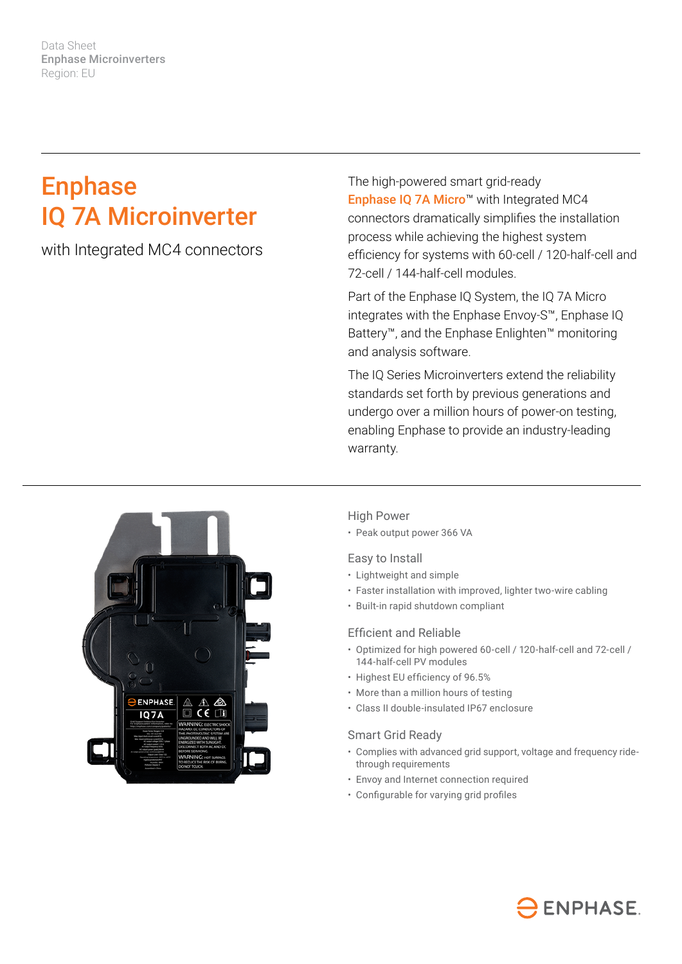Data Sheet Enphase Microinverters Region: EU

# **Enphase** IQ 7A Microinverter

with Integrated MC4 connectors

The high-powered smart grid-ready Enphase IQ 7A Micro<sup>™</sup> with Integrated MC4 connectors dramatically simplifies the installation process while achieving the highest system efficiency for systems with 60-cell / 120-half-cell and 72-cell / 144-half-cell modules.

Part of the Enphase IQ System, the IQ 7A Micro integrates with the Enphase Envoy-S™, Enphase IQ Battery™, and the Enphase Enlighten™ monitoring and analysis software.

The IQ Series Microinverters extend the reliability standards set forth by previous generations and undergo over a million hours of power-on testing, enabling Enphase to provide an industry-leading warranty.



## High Power

• Peak output power 366 VA

### Easy to Install

- Lightweight and simple
- Faster installation with improved, lighter two-wire cabling
- Built-in rapid shutdown compliant

#### Efficient and Reliable

- Optimized for high powered 60-cell / 120-half-cell and 72-cell / 144-half-cell PV modules
- Highest EU efficiency of 96.5%
- More than a million hours of testing
- Class II double-insulated IP67 enclosure

#### Smart Grid Ready

- Complies with advanced grid support, voltage and frequency ridethrough requirements
- Envoy and Internet connection required
- Configurable for varying grid profiles